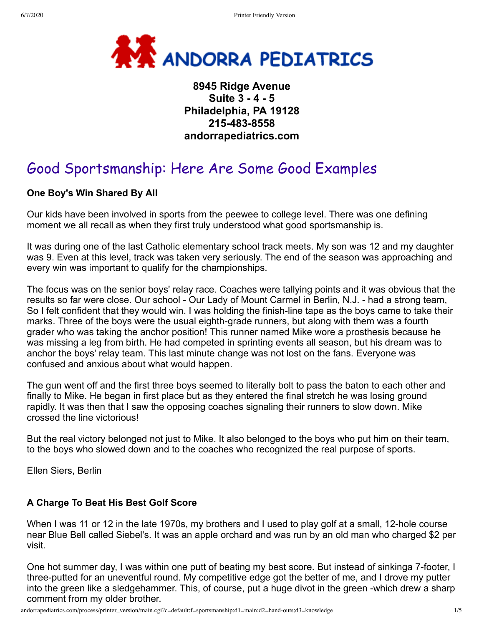

# **8945 Ridge Avenue Suite 3 - 4 - 5 Philadelphia, PA 19128 215-483-8558 andorrapediatrics.com**

# Good Sportsmanship: Here Are Some Good Examples

# **One Boy's Win Shared By All**

Our kids have been involved in sports from the peewee to college level. There was one defining moment we all recall as when they first truly understood what good sportsmanship is.

It was during one of the last Catholic elementary school track meets. My son was 12 and my daughter was 9. Even at this level, track was taken very seriously. The end of the season was approaching and every win was important to qualify for the championships.

The focus was on the senior boys' relay race. Coaches were tallying points and it was obvious that the results so far were close. Our school - Our Lady of Mount Carmel in Berlin, N.J. - had a strong team, So I felt confident that they would win. I was holding the finish-line tape as the boys came to take their marks. Three of the boys were the usual eighth-grade runners, but along with them was a fourth grader who was taking the anchor position! This runner named Mike wore a prosthesis because he was missing a leg from birth. He had competed in sprinting events all season, but his dream was to anchor the boys' relay team. This last minute change was not lost on the fans. Everyone was confused and anxious about what would happen.

The gun went off and the first three boys seemed to literally bolt to pass the baton to each other and finally to Mike. He began in first place but as they entered the final stretch he was losing ground rapidly. It was then that I saw the opposing coaches signaling their runners to slow down. Mike crossed the line victorious!

But the real victory belonged not just to Mike. It also belonged to the boys who put him on their team, to the boys who slowed down and to the coaches who recognized the real purpose of sports.

Ellen Siers, Berlin

# **A Charge To Beat His Best Golf Score**

When I was 11 or 12 in the late 1970s, my brothers and I used to play golf at a small, 12-hole course near Blue Bell called Siebel's. It was an apple orchard and was run by an old man who charged \$2 per visit.

One hot summer day, I was within one putt of beating my best score. But instead of sinkinga 7-footer, I three-putted for an uneventful round. My competitive edge got the better of me, and I drove my putter into the green like a sledgehammer. This, of course, put a huge divot in the green -which drew a sharp comment from my older brother.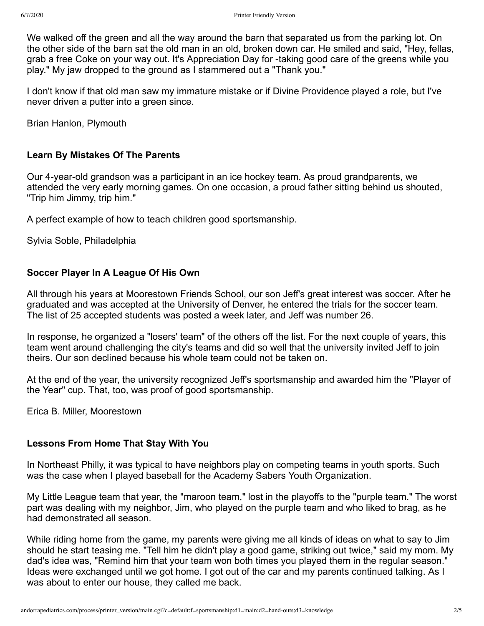We walked off the green and all the way around the barn that separated us from the parking lot. On the other side of the barn sat the old man in an old, broken down car. He smiled and said, "Hey, fellas, grab a free Coke on your way out. It's Appreciation Day for -taking good care of the greens while you play." My jaw dropped to the ground as I stammered out a "Thank you."

I don't know if that old man saw my immature mistake or if Divine Providence played a role, but I've never driven a putter into a green since.

Brian Hanlon, Plymouth

### **Learn By Mistakes Of The Parents**

Our 4-year-old grandson was a participant in an ice hockey team. As proud grandparents, we attended the very early morning games. On one occasion, a proud father sitting behind us shouted, "Trip him Jimmy, trip him."

A perfect example of how to teach children good sportsmanship.

Sylvia Soble, Philadelphia

# **Soccer Player In A League Of His Own**

All through his years at Moorestown Friends School, our son Jeff's great interest was soccer. After he graduated and was accepted at the University of Denver, he entered the trials for the soccer team. The list of 25 accepted students was posted a week later, and Jeff was number 26.

In response, he organized a "losers' team" of the others off the list. For the next couple of years, this team went around challenging the city's teams and did so well that the university invited Jeff to join theirs. Our son declined because his whole team could not be taken on.

At the end of the year, the university recognized Jeff's sportsmanship and awarded him the "Player of the Year" cup. That, too, was proof of good sportsmanship.

Erica B. Miller, Moorestown

#### **Lessons From Home That Stay With You**

In Northeast Philly, it was typical to have neighbors play on competing teams in youth sports. Such was the case when I played baseball for the Academy Sabers Youth Organization.

My Little League team that year, the "maroon team," lost in the playoffs to the "purple team." The worst part was dealing with my neighbor, Jim, who played on the purple team and who liked to brag, as he had demonstrated all season.

While riding home from the game, my parents were giving me all kinds of ideas on what to say to Jim should he start teasing me. "Tell him he didn't play a good game, striking out twice," said my mom. My dad's idea was, "Remind him that your team won both times you played them in the regular season." Ideas were exchanged until we got home. I got out of the car and my parents continued talking. As I was about to enter our house, they called me back.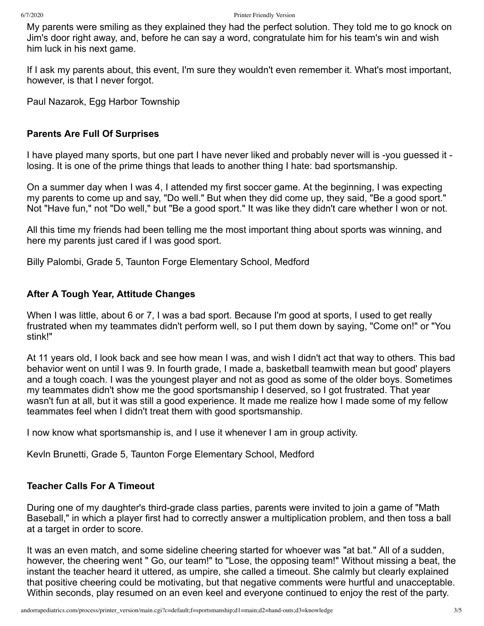My parents were smiling as they explained they had the perfect solution. They told me to go knock on Jim's door right away, and, before he can say a word, congratulate him for his team's win and wish him luck in his next game.

If I ask my parents about, this event, I'm sure they wouldn't even remember it. What's most important, however, is that I never forgot.

Paul Nazarok, Egg Harbor Township

#### **Parents Are Full Of Surprises**

I have played many sports, but one part I have never liked and probably never will is -you guessed it losing. It is one of the prime things that leads to another thing I hate: bad sportsmanship.

On a summer day when I was 4, I attended my first soccer game. At the beginning, I was expecting my parents to come up and say, "Do well." But when they did come up, they said, "Be a good sport." Not "Have fun," not "Do well," but "Be a good sport." It was like they didn't care whether I won or not.

All this time my friends had been telling me the most important thing about sports was winning, and here my parents just cared if I was good sport.

Billy Palombi, Grade 5, Taunton Forge Elementary School, Medford

#### **After A Tough Year, Attitude Changes**

When I was little, about 6 or 7, I was a bad sport. Because I'm good at sports, I used to get really frustrated when my teammates didn't perform well, so I put them down by saying, "Come on!" or "You stink!"

At 11 years old, I look back and see how mean I was, and wish I didn't act that way to others. This bad behavior went on until I was 9. In fourth grade, I made a, basketball teamwith mean but good' players and a tough coach. I was the youngest player and not as good as some of the older boys. Sometimes my teammates didn't show me the good sportsmanship I deserved, so I got frustrated. That year wasn't fun at all, but it was still a good experience. It made me realize how I made some of my fellow teammates feel when I didn't treat them with good sportsmanship.

I now know what sportsmanship is, and I use it whenever I am in group activity.

Kevln Brunetti, Grade 5, Taunton Forge Elementary School, Medford

#### **Teacher Calls For A Timeout**

During one of my daughter's third-grade class parties, parents were invited to join a game of "Math Baseball," in which a player first had to correctly answer a multiplication problem, and then toss a ball at a target in order to score.

It was an even match, and some sideline cheering started for whoever was "at bat." All of a sudden, however, the cheering went " Go, our team!" to "Lose, the opposing team!" Without missing a beat, the instant the teacher heard it uttered, as umpire, she called a timeout. She calmly but clearly explained that positive cheering could be motivating, but that negative comments were hurtful and unacceptable. Within seconds, play resumed on an even keel and everyone continued to enjoy the rest of the party.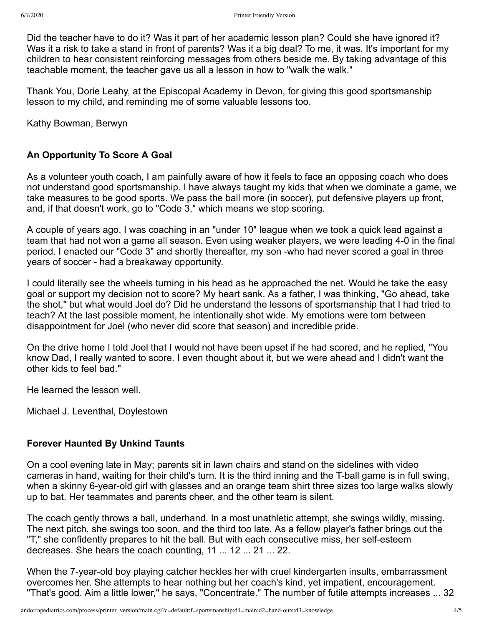Did the teacher have to do it? Was it part of her academic lesson plan? Could she have ignored it? Was it a risk to take a stand in front of parents? Was it a big deal? To me, it was. It's important for my children to hear consistent reinforcing messages from others beside me. By taking advantage of this teachable moment, the teacher gave us all a lesson in how to "walk the walk."

Thank You, Dorie Leahy, at the Episcopal Academy in Devon, for giving this good sportsmanship lesson to my child, and reminding me of some valuable lessons too.

Kathy Bowman, Berwyn

# **An Opportunity To Score A Goal**

As a volunteer youth coach, I am painfully aware of how it feels to face an opposing coach who does not understand good sportsmanship. I have always taught my kids that when we dominate a game, we take measures to be good sports. We pass the ball more (in soccer), put defensive players up front, and, if that doesn't work, go to "Code 3," which means we stop scoring.

A couple of years ago, I was coaching in an "under 10" league when we took a quick lead against a team that had not won a game all season. Even using weaker players, we were leading 4-0 in the final period. I enacted our "Code 3" and shortly thereafter, my son -who had never scored a goal in three years of soccer - had a breakaway opportunity.

I could literally see the wheels turning in his head as he approached the net. Would he take the easy goal or support my decision not to score? My heart sank. As a father, I was thinking, "Go ahead, take the shot," but what would Joel do? Did he understand the lessons of sportsmanship that I had tried to teach? At the last possible moment, he intentionally shot wide. My emotions were torn between disappointment for Joel (who never did score that season) and incredible pride.

On the drive home I told Joel that I would not have been upset if he had scored, and he replied, "You know Dad, I really wanted to score. I even thought about it, but we were ahead and I didn't want the other kids to feel bad."

He learned the lesson well.

Michael J. Leventhal, Doylestown

# **Forever Haunted By Unkind Taunts**

On a cool evening late in May; parents sit in lawn chairs and stand on the sidelines with video cameras in hand, waiting for their child's turn. It is the third inning and the T-ball game is in full swing, when a skinny 6-year-old girl with glasses and an orange team shirt three sizes too large walks slowly up to bat. Her teammates and parents cheer, and the other team is silent.

The coach gently throws a ball, underhand. In a most unathletic attempt, she swings wildly, missing. The next pitch, she swings too soon, and the third too late. As a fellow player's father brings out the "T," she confidently prepares to hit the ball. But with each consecutive miss, her self-esteem decreases. She hears the coach counting, 11 ... 12 ... 21 ... 22.

When the 7-year-old boy playing catcher heckles her with cruel kindergarten insults, embarrassment overcomes her. She attempts to hear nothing but her coach's kind, yet impatient, encouragement. "That's good. Aim a little lower," he says, "Concentrate." The number of futile attempts increases ... 32